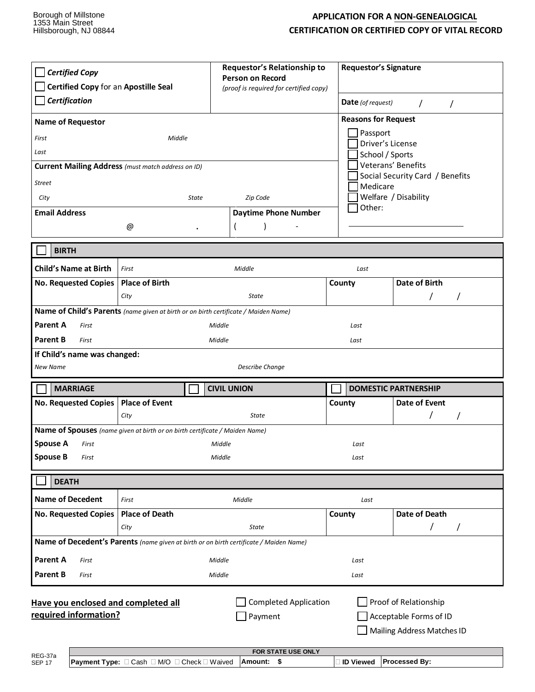## **APPLICATION FOR A NON-GENEALOGICAL CERTIFICATION OR CERTIFIED COPY OF VITAL RECORD**

| <b>Certified Copy</b><br>Certified Copy for an Apostille Seal<br>Certification<br><b>Name of Requestor</b><br>First<br>Last                                                                                               | Middle<br><b>Current Mailing Address</b> (must match address on ID) | Requestor's Relationship to<br><b>Person on Record</b><br>(proof is required for certified copy) |                      | <b>Requestor's Signature</b><br>Date (of request)<br>$\prime$<br>$\prime$<br><b>Reasons for Request</b><br>Passport<br>Driver's License<br>School / Sports<br>Veterans' Benefits<br>Social Security Card / Benefits |  |  |  |
|---------------------------------------------------------------------------------------------------------------------------------------------------------------------------------------------------------------------------|---------------------------------------------------------------------|--------------------------------------------------------------------------------------------------|----------------------|---------------------------------------------------------------------------------------------------------------------------------------------------------------------------------------------------------------------|--|--|--|
| <b>Street</b><br>City                                                                                                                                                                                                     | State                                                               | Medicare                                                                                         | Welfare / Disability |                                                                                                                                                                                                                     |  |  |  |
| <b>Email Address</b>                                                                                                                                                                                                      |                                                                     | Zip Code<br><b>Daytime Phone Number</b>                                                          | Other:               |                                                                                                                                                                                                                     |  |  |  |
|                                                                                                                                                                                                                           | @                                                                   |                                                                                                  |                      |                                                                                                                                                                                                                     |  |  |  |
|                                                                                                                                                                                                                           |                                                                     |                                                                                                  |                      |                                                                                                                                                                                                                     |  |  |  |
| <b>BIRTH</b>                                                                                                                                                                                                              |                                                                     |                                                                                                  |                      |                                                                                                                                                                                                                     |  |  |  |
| <b>Child's Name at Birth</b>                                                                                                                                                                                              | Middle<br>First                                                     |                                                                                                  | Last                 |                                                                                                                                                                                                                     |  |  |  |
| No. Requested Copies                                                                                                                                                                                                      | <b>Place of Birth</b>                                               |                                                                                                  | County               | <b>Date of Birth</b>                                                                                                                                                                                                |  |  |  |
|                                                                                                                                                                                                                           | City                                                                | State                                                                                            |                      |                                                                                                                                                                                                                     |  |  |  |
| Name of Child's Parents (name given at birth or on birth certificate / Maiden Name)<br>Parent A<br>Middle<br>First<br>Last                                                                                                |                                                                     |                                                                                                  |                      |                                                                                                                                                                                                                     |  |  |  |
| Parent B<br>First                                                                                                                                                                                                         | Middle<br>Last                                                      |                                                                                                  |                      |                                                                                                                                                                                                                     |  |  |  |
| If Child's name was changed:                                                                                                                                                                                              |                                                                     |                                                                                                  |                      |                                                                                                                                                                                                                     |  |  |  |
| New Name<br><b>Describe Change</b>                                                                                                                                                                                        |                                                                     |                                                                                                  |                      |                                                                                                                                                                                                                     |  |  |  |
| <b>MARRIAGE</b>                                                                                                                                                                                                           |                                                                     | <b>CIVIL UNION</b>                                                                               |                      | <b>DOMESTIC PARTNERSHIP</b>                                                                                                                                                                                         |  |  |  |
| No. Requested Copies   Place of Event                                                                                                                                                                                     |                                                                     |                                                                                                  | County               | Date of Event                                                                                                                                                                                                       |  |  |  |
|                                                                                                                                                                                                                           | City                                                                | <b>State</b>                                                                                     |                      | $\prime$                                                                                                                                                                                                            |  |  |  |
| Name of Spouses (name given at birth or on birth certificate / Maiden Name)                                                                                                                                               |                                                                     |                                                                                                  |                      |                                                                                                                                                                                                                     |  |  |  |
| <b>Spouse A</b><br>First<br><b>Spouse B</b><br>First                                                                                                                                                                      |                                                                     | Middle                                                                                           |                      |                                                                                                                                                                                                                     |  |  |  |
|                                                                                                                                                                                                                           | Middle<br>Last                                                      |                                                                                                  |                      |                                                                                                                                                                                                                     |  |  |  |
| <b>DEATH</b>                                                                                                                                                                                                              |                                                                     |                                                                                                  |                      |                                                                                                                                                                                                                     |  |  |  |
| <b>Name of Decedent</b>                                                                                                                                                                                                   | First                                                               | Middle                                                                                           | Last                 |                                                                                                                                                                                                                     |  |  |  |
| <b>No. Requested Copies</b>                                                                                                                                                                                               | <b>Place of Death</b>                                               |                                                                                                  | County               | Date of Death                                                                                                                                                                                                       |  |  |  |
|                                                                                                                                                                                                                           | City                                                                | <b>State</b>                                                                                     |                      | T<br>$\prime$                                                                                                                                                                                                       |  |  |  |
| Name of Decedent's Parents (name given at birth or on birth certificate / Maiden Name)                                                                                                                                    |                                                                     |                                                                                                  |                      |                                                                                                                                                                                                                     |  |  |  |
| <b>Parent A</b><br>First                                                                                                                                                                                                  |                                                                     | Middle                                                                                           | Last                 |                                                                                                                                                                                                                     |  |  |  |
| <b>Parent B</b><br>First                                                                                                                                                                                                  |                                                                     | Middle                                                                                           | Last                 |                                                                                                                                                                                                                     |  |  |  |
| <b>Completed Application</b><br>Proof of Relationship<br>Have you enclosed and completed all<br>required information?<br>Payment<br>Acceptable Forms of ID<br>Mailing Address Matches ID<br>FOR STATE USE ONLY<br>REG-37a |                                                                     |                                                                                                  |                      |                                                                                                                                                                                                                     |  |  |  |
| <b>SEP 17</b>                                                                                                                                                                                                             | Payment Type: □ Cash □ M/O □ Check □ Waived                         | Amount: \$                                                                                       | □ ID Viewed          | Processed By:                                                                                                                                                                                                       |  |  |  |